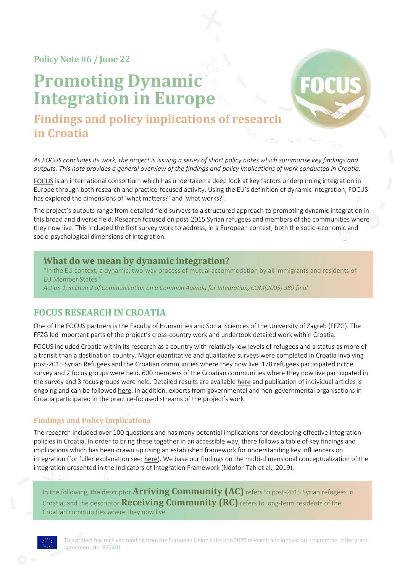**Policy Note#6 / June 22**

# **Promoting Dynamic Integration in Europe**



**Findings and policy implications of research in Croatia**

*As FOCUS concludes its work, the project is issuing a series of short policy notes which summarise key findings and outputs. This note provides a general overview of the findings and policy implications of work conducted in Croatia.*

[FOCUS](http://www.focus-refugees.eu/) is an international consortium which has undertaken a deep look at key factors underpinning integration in Europe through both research and practice-focused activity. Using the EU's definition of dynamic integration, FOCUS has explored the dimensions of 'what matters?' and 'what works?'.

The project's outputs range from detailed field surveys to a structured approach to promoting dynamic integration in this broad and diverse field. Research focused on post-2015 Syrian refugees and members of the communities where they now live. This included the first survey work to address, in a European context, both the socio-economic and socio-psychological dimensions of integration.

#### **What do we mean by dynamic integration?**

"In the EU context, a dynamic, two-way process of mutual accommodation by all immigrants and residents of EU Member States." *Action 1, section 2 of Communication on a Common Agenda for Integration, COM(2005) 389 final*

## **FOCUS RESEARCH IN CROATIA**

One of the FOCUS partners is the Faculty of Humanities and Social Sciences of the University of Zagreb (FFZG). The FFZG led important parts of the project's cross-country work and undertook detailed work within Croatia.

FOCUS included Croatia within its research as a country with relatively low levels of refugees and a status as more of a transit than a destination country. Major quantitative and qualitative surveys were completed in Croatia involving post-2015 Syrian Refugees and the Croatian communities where they now live. 178 refugees participated in the survey and 2 focus groups were held. 600 members of the Croatian communities where they now live participated in the survey and 3 focus groups were held. Detailed results are available [here](http://www.focus-refugees.eu/results#research) and publication of individual articles is ongoing and can be followe[d here.](http://psihologija.ffzg.unizg.hr/EN) In addition, experts from governmental and non-governmental organisations in Croatia participated in the practice-focused streams of the project's work.

#### **Findings and Policy Implications**

The research included over 100 questions and has many potential implications for developing effective integration policies in Croatia. In order to bring these together in an accessible way, there follows a table of key findings and implications which has been drawn up using an established framework for understanding key influencers on integration (for fuller explanation see: [here\)](https://www.focus-refugees.eu/wp-content/uploads/focus-implementation-guide-dynamic-integration.pdf). We base our findings on the multi-dimensional conceptualization of the integration presented in the Indicators of Integration Framework (Ndofor-Tah et al., 2019).

In the following, the descriptor **Arriving Community (AC)** refers to post-2015 Syrian refugees in Croatia, and the descriptor **Receiving Community (RC)** refers to long-term residents of the Croatian communities where they now live

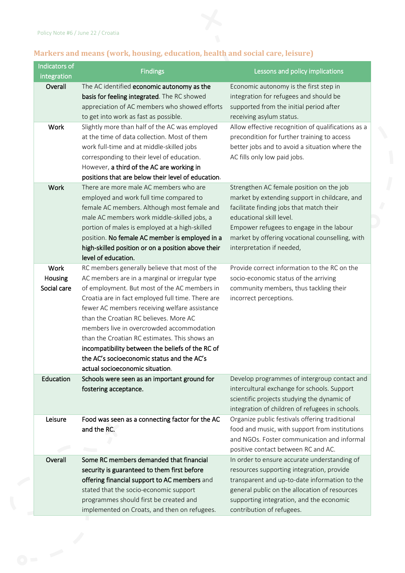

## **Markers and means (work, housing, education, health and social care, leisure)**

| Indicators of<br>integration | <b>Findings</b>                                                                                      | Lessons and policy implications                                                                |
|------------------------------|------------------------------------------------------------------------------------------------------|------------------------------------------------------------------------------------------------|
| Overall                      | The AC identified economic autonomy as the<br>basis for feeling integrated. The RC showed            | Economic autonomy is the first step in<br>integration for refugees and should be               |
|                              | appreciation of AC members who showed efforts                                                        | supported from the initial period after                                                        |
|                              | to get into work as fast as possible.                                                                | receiving asylum status.                                                                       |
| Work                         | Slightly more than half of the AC was employed                                                       | Allow effective recognition of qualifications as a                                             |
|                              | at the time of data collection. Most of them                                                         | precondition for further training to access                                                    |
|                              | work full-time and at middle-skilled jobs                                                            | better jobs and to avoid a situation where the                                                 |
|                              | corresponding to their level of education.                                                           | AC fills only low paid jobs.                                                                   |
|                              | However, a third of the AC are working in                                                            |                                                                                                |
|                              | positions that are below their level of education.                                                   |                                                                                                |
| Work                         | There are more male AC members who are                                                               | Strengthen AC female position on the job                                                       |
|                              | employed and work full time compared to                                                              | market by extending support in childcare, and                                                  |
|                              | female AC members. Although most female and                                                          | facilitate finding jobs that match their                                                       |
|                              | male AC members work middle-skilled jobs, a                                                          | educational skill level.                                                                       |
|                              | portion of males is employed at a high-skilled                                                       | Empower refugees to engage in the labour                                                       |
|                              | position. No female AC member is employed in a<br>high-skilled position or on a position above their | market by offering vocational counselling, with<br>interpretation if needed,                   |
|                              | level of education.                                                                                  |                                                                                                |
| Work                         | RC members generally believe that most of the                                                        | Provide correct information to the RC on the                                                   |
| Housing                      | AC members are in a marginal or irregular type                                                       | socio-economic status of the arriving                                                          |
| Social care                  | of employment. But most of the AC members in                                                         | community members, thus tackling their                                                         |
|                              | Croatia are in fact employed full time. There are                                                    | incorrect perceptions.                                                                         |
|                              | fewer AC members receiving welfare assistance                                                        |                                                                                                |
|                              | than the Croatian RC believes. More AC                                                               |                                                                                                |
|                              | members live in overcrowded accommodation                                                            |                                                                                                |
|                              | than the Croatian RC estimates. This shows an                                                        |                                                                                                |
|                              | incompatibility between the beliefs of the RC of                                                     |                                                                                                |
|                              | the AC's socioeconomic status and the AC's                                                           |                                                                                                |
|                              | actual socioeconomic situation.                                                                      |                                                                                                |
| Education                    | Schools were seen as an important ground for                                                         | Develop programmes of intergroup contact and                                                   |
|                              | fostering acceptance.                                                                                | intercultural exchange for schools. Support                                                    |
|                              |                                                                                                      | scientific projects studying the dynamic of                                                    |
|                              |                                                                                                      | integration of children of refugees in schools.                                                |
| Leisure                      | Food was seen as a connecting factor for the AC                                                      | Organize public festivals offering traditional                                                 |
|                              | and the RC.                                                                                          | food and music, with support from institutions                                                 |
|                              |                                                                                                      | and NGOs. Foster communication and informal                                                    |
|                              |                                                                                                      | positive contact between RC and AC.                                                            |
| Overall                      | Some RC members demanded that financial                                                              | In order to ensure accurate understanding of                                                   |
|                              | security is guaranteed to them first before                                                          | resources supporting integration, provide                                                      |
|                              | offering financial support to AC members and<br>stated that the socio-economic support               | transparent and up-to-date information to the<br>general public on the allocation of resources |
|                              | programmes should first be created and                                                               | supporting integration, and the economic                                                       |
|                              | implemented on Croats, and then on refugees.                                                         | contribution of refugees.                                                                      |
|                              |                                                                                                      |                                                                                                |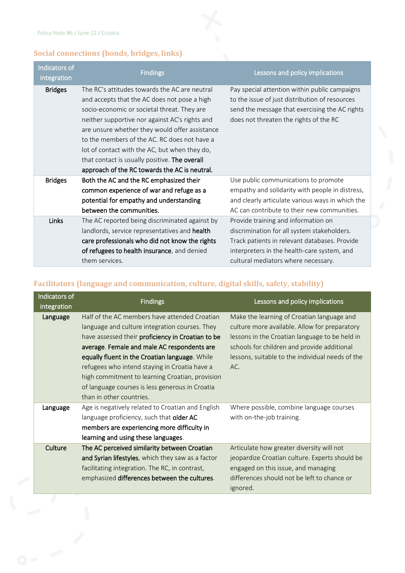$\overline{a}$ 

## **Social connections (bonds, bridges, links)**

| Indicators of<br>integration | <b>Findings</b>                                                                                                                                                                                                                                                                                                                                                                                                                                     | <b>Lessons and policy implications</b>                                                                                                                                                                                    |
|------------------------------|-----------------------------------------------------------------------------------------------------------------------------------------------------------------------------------------------------------------------------------------------------------------------------------------------------------------------------------------------------------------------------------------------------------------------------------------------------|---------------------------------------------------------------------------------------------------------------------------------------------------------------------------------------------------------------------------|
| <b>Bridges</b>               | The RC's attitudes towards the AC are neutral<br>and accepts that the AC does not pose a high<br>socio-economic or societal threat. They are<br>neither supportive nor against AC's rights and<br>are unsure whether they would offer assistance<br>to the members of the AC. RC does not have a<br>lot of contact with the AC, but when they do,<br>that contact is usually positive. The overall<br>approach of the RC towards the AC is neutral. | Pay special attention within public campaigns<br>to the issue of just distribution of resources<br>send the message that exercising the AC rights<br>does not threaten the rights of the RC                               |
| <b>Bridges</b>               | Both the AC and the RC emphasized their<br>common experience of war and refuge as a<br>potential for empathy and understanding<br>between the communities.                                                                                                                                                                                                                                                                                          | Use public communications to promote<br>empathy and solidarity with people in distress,<br>and clearly articulate various ways in which the<br>AC can contribute to their new communities.                                |
| Links                        | The AC reported being discriminated against by<br>landlords, service representatives and health<br>care professionals who did not know the rights<br>of refugees to health insurance, and denied<br>them services.                                                                                                                                                                                                                                  | Provide training and information on<br>discrimination for all system stakeholders.<br>Track patients in relevant databases. Provide<br>interpreters in the health-care system, and<br>cultural mediators where necessary. |

# **Facilitators (language and communication, culture, digital skills, safety, stability)**

| Indicators of<br>integration | <b>Findings</b>                                                                                                                                                                                                                                                                                                                                                                                              | Lessons and policy implications                                                                                                                                                                                                                         |
|------------------------------|--------------------------------------------------------------------------------------------------------------------------------------------------------------------------------------------------------------------------------------------------------------------------------------------------------------------------------------------------------------------------------------------------------------|---------------------------------------------------------------------------------------------------------------------------------------------------------------------------------------------------------------------------------------------------------|
| Language                     | Half of the AC members have attended Croatian<br>language and culture integration courses. They<br>have assessed their proficiency in Croatian to be<br>average. Female and male AC respondents are<br>equally fluent in the Croatian language. While<br>refugees who intend staying in Croatia have a<br>high commitment to learning Croatian, provision<br>of language courses is less generous in Croatia | Make the learning of Croatian language and<br>culture more available. Allow for preparatory<br>lessons in the Croatian language to be held in<br>schools for children and provide additional<br>lessons, suitable to the individual needs of the<br>AC. |
|                              | than in other countries.                                                                                                                                                                                                                                                                                                                                                                                     |                                                                                                                                                                                                                                                         |
| Language                     | Age is negatively related to Croatian and English<br>language proficiency, such that older AC<br>members are experiencing more difficulty in<br>learning and using these languages.                                                                                                                                                                                                                          | Where possible, combine language courses<br>with on-the-job training.                                                                                                                                                                                   |
| Culture                      | The AC perceived similarity between Croatian<br>and Syrian lifestyles, which they saw as a factor<br>facilitating integration. The RC, in contrast,<br>emphasized differences between the cultures.                                                                                                                                                                                                          | Articulate how greater diversity will not<br>jeopardize Croatian culture. Experts should be<br>engaged on this issue, and managing<br>differences should not be left to chance or<br>ignored.                                                           |